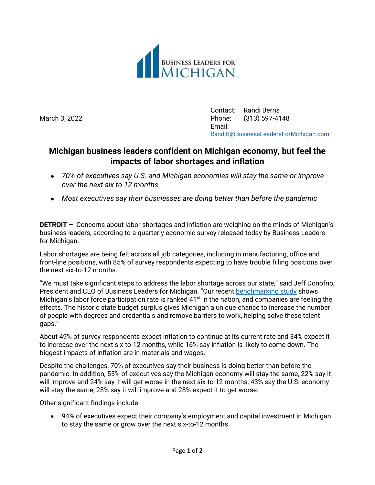

Contact: Randi Berris March 3, 2022 Phone: (313) 597-4148 Email: [RandiB@BusinessLeadersForMichigan.com](mailto:RandiB@BusinessLeadersForMichigan.com)

## **Michigan business leaders confident on Michigan economy, but feel the impacts of labor shortages and inflation**

- *70% of executives say U.S. and Michigan economies will stay the same or improve over the next six to 12 months*
- *Most executives say their businesses are doing better than before the pandemic*

**DETROIT –** Concerns about labor shortages and inflation are weighing on the minds of Michigan's business leaders, according to a quarterly economic survey released today by Business Leaders for Michigan.

Labor shortages are being felt across all job categories, including in manufacturing, office and front-line positions, with 85% of survey respondents expecting to have trouble filling positions over the next six-to-12 months.

"We must take significant steps to address the labor shortage across our state," said Jeff Donofrio, President and CEO of Business Leaders for Michigan. "Our recent [benchmarking study](https://businessleadersformichigan.com/business-leaders-for-michigan-releases-top-10-benchmarks/) shows Michigan's labor force participation rate is ranked  $41<sup>st</sup>$  in the nation, and companies are feeling the effects. The historic state budget surplus gives Michigan a unique chance to increase the number of people with degrees and credentials and remove barriers to work, helping solve these talent gaps."

About 49% of survey respondents expect inflation to continue at its current rate and 34% expect it to increase over the next six-to-12 months, while 16% say inflation is likely to come down. The biggest impacts of inflation are in materials and wages.

Despite the challenges, 70% of executives say their business is doing better than before the pandemic. In addition, 55% of executives say the Michigan economy will stay the same, 22% say it will improve and 24% say it will get worse in the next six-to-12 months; 43% say the U.S. economy will stay the same, 28% say it will improve and 28% expect it to get worse.

Other significant findings include:

 94% of executives expect their company's employment and capital investment in Michigan to stay the same or grow over the next six-to-12 months